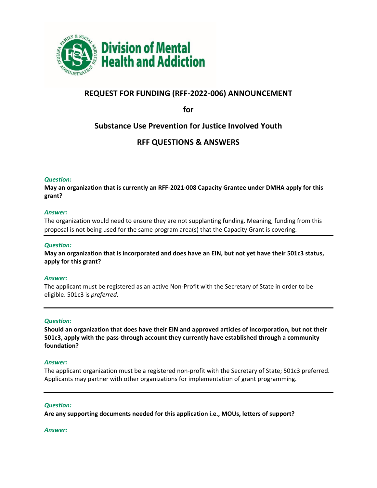

# **REQUEST FOR FUNDING (RFF-2022-006) ANNOUNCEMENT**

**for**

# **Substance Use Prevention for Justice Involved Youth**

# **RFF QUESTIONS & ANSWERS**

# *Question:*

**May an organization that is currently an RFF-2021-008 Capacity Grantee under DMHA apply for this grant?** 

## *Answer:*

The organization would need to ensure they are not supplanting funding. Meaning, funding from this proposal is not being used for the same program area(s) that the Capacity Grant is covering.

# *Question:*

**May an organization that is incorporated and does have an EIN, but not yet have their 501c3 status, apply for this grant?**

## *Answer:*

The applicant must be registered as an active Non-Profit with the Secretary of State in order to be eligible. 501c3 is *preferred*.

# *Question:*

**Should an organization that does have their EIN and approved articles of incorporation, but not their 501c3, apply with the pass-through account they currently have established through a community foundation?**

## *Answer:*

The applicant organization must be a registered non-profit with the Secretary of State; 501c3 preferred. Applicants may partner with other organizations for implementation of grant programming.

## *Question:*

**Are any supporting documents needed for this application i.e., MOUs, letters of support?**

## *Answer:*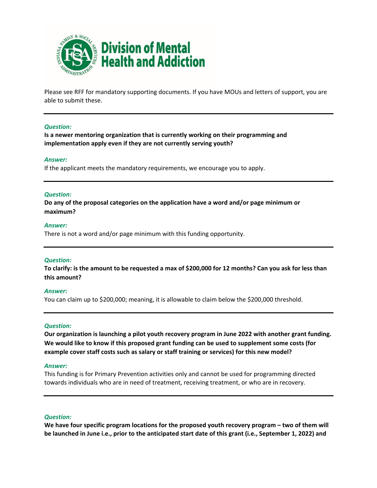

Please see RFF for mandatory supporting documents. If you have MOUs and letters of support, you are able to submit these.

## *Question:*

**Is a newer mentoring organization that is currently working on their programming and implementation apply even if they are not currently serving youth?**

#### *Answer:*

If the applicant meets the mandatory requirements, we encourage you to apply.

#### *Question:*

**Do any of the proposal categories on the application have a word and/or page minimum or maximum?**

#### *Answer:*

There is not a word and/or page minimum with this funding opportunity.

## *Question:*

**To clarify: is the amount to be requested a max of \$200,000 for 12 months? Can you ask for less than this amount?**

## *Answer:*

You can claim up to \$200,000; meaning, it is allowable to claim below the \$200,000 threshold.

## *Question:*

**Our organization is launching a pilot youth recovery program in June 2022 with another grant funding. We would like to know if this proposed grant funding can be used to supplement some costs (for example cover staff costs such as salary or staff training or services) for this new model?**

## *Answer:*

This funding is for Primary Prevention activities only and cannot be used for programming directed towards individuals who are in need of treatment, receiving treatment, or who are in recovery.

#### *Question:*

**We have four specific program locations for the proposed youth recovery program – two of them will be launched in June i.e., prior to the anticipated start date of this grant (i.e., September 1, 2022) and**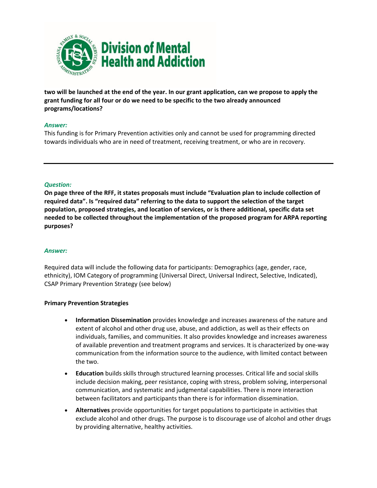

**two will be launched at the end of the year. In our grant application, can we propose to apply the grant funding for all four or do we need to be specific to the two already announced programs/locations?** 

# *Answer:*

This funding is for Primary Prevention activities only and cannot be used for programming directed towards individuals who are in need of treatment, receiving treatment, or who are in recovery.

# *Question:*

**On page three of the RFF, it states proposals must include "Evaluation plan to include collection of required data". Is "required data" referring to the data to support the selection of the target population, proposed strategies, and location of services, or is there additional, specific data set needed to be collected throughout the implementation of the proposed program for ARPA reporting purposes?**

# *Answer:*

Required data will include the following data for participants: Demographics (age, gender, race, ethnicity), IOM Category of programming (Universal Direct, Universal Indirect, Selective, Indicated), CSAP Primary Prevention Strategy (see below)

# **Primary Prevention Strategies**

- **Information Dissemination** provides knowledge and increases awareness of the nature and extent of alcohol and other drug use, abuse, and addiction, as well as their effects on individuals, families, and communities. It also provides knowledge and increases awareness of available prevention and treatment programs and services. It is characterized by one-way communication from the information source to the audience, with limited contact between the two.
- **Education** builds skills through structured learning processes. Critical life and social skills include decision making, peer resistance, coping with stress, problem solving, interpersonal communication, and systematic and judgmental capabilities. There is more interaction between facilitators and participants than there is for information dissemination.
- **Alternatives** provide opportunities for target populations to participate in activities that exclude alcohol and other drugs. The purpose is to discourage use of alcohol and other drugs by providing alternative, healthy activities.